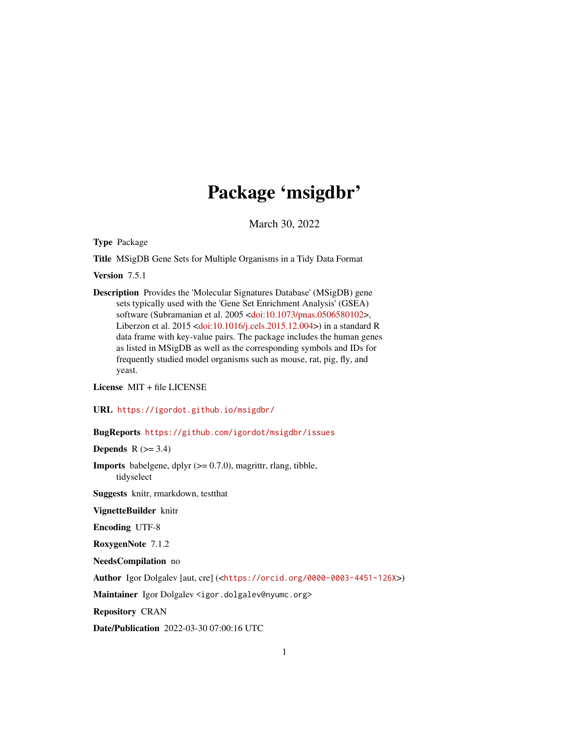## Package 'msigdbr'

March 30, 2022

Type Package

Title MSigDB Gene Sets for Multiple Organisms in a Tidy Data Format

Version 7.5.1

Description Provides the 'Molecular Signatures Database' (MSigDB) gene sets typically used with the 'Gene Set Enrichment Analysis' (GSEA) software (Subramanian et al. 2005 [<doi:10.1073/pnas.0506580102>](https://doi.org/10.1073/pnas.0506580102), Liberzon et al. 2015 [<doi:10.1016/j.cels.2015.12.004>](https://doi.org/10.1016/j.cels.2015.12.004)) in a standard R data frame with key-value pairs. The package includes the human genes as listed in MSigDB as well as the corresponding symbols and IDs for frequently studied model organisms such as mouse, rat, pig, fly, and yeast.

License MIT + file LICENSE

URL <https://igordot.github.io/msigdbr/>

BugReports <https://github.com/igordot/msigdbr/issues>

Depends  $R$  ( $>= 3.4$ )

**Imports** babelgene, dplyr  $(>= 0.7.0)$ , magrittr, rlang, tibble, tidyselect

Suggests knitr, rmarkdown, testthat

VignetteBuilder knitr

Encoding UTF-8

RoxygenNote 7.1.2

NeedsCompilation no

Author Igor Dolgalev [aut, cre] (<<https://orcid.org/0000-0003-4451-126X>>)

Maintainer Igor Dolgalev <igor.dolgalev@nyumc.org>

Repository CRAN

Date/Publication 2022-03-30 07:00:16 UTC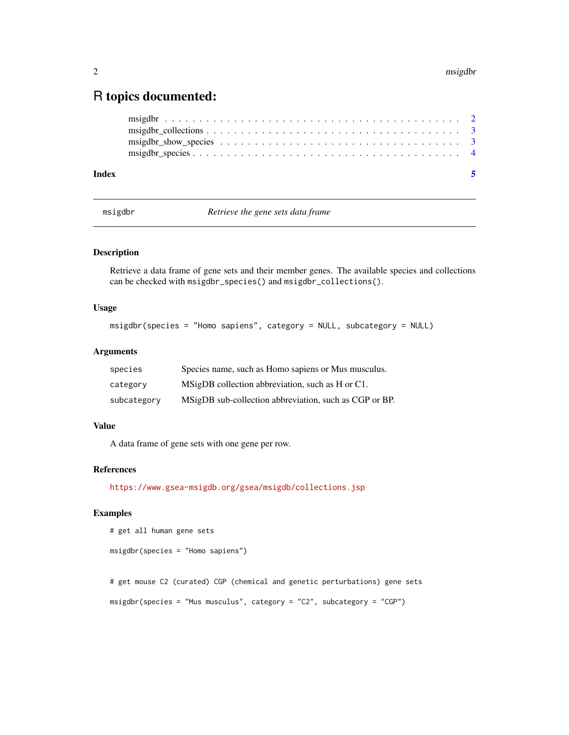## <span id="page-1-0"></span>R topics documented:

| Index |                                                                                                              |
|-------|--------------------------------------------------------------------------------------------------------------|
|       |                                                                                                              |
|       | $msigdbr_show_species \ldots \ldots \ldots \ldots \ldots \ldots \ldots \ldots \ldots \ldots \ldots \ldots 3$ |
|       |                                                                                                              |
|       |                                                                                                              |

msigdbr *Retrieve the gene sets data frame*

#### Description

Retrieve a data frame of gene sets and their member genes. The available species and collections can be checked with msigdbr\_species() and msigdbr\_collections().

### Usage

msigdbr(species = "Homo sapiens", category = NULL, subcategory = NULL)

#### Arguments

| species     | Species name, such as Homo sapiens or Mus musculus.    |
|-------------|--------------------------------------------------------|
| category    | MSigDB collection abbreviation, such as H or C1.       |
| subcategory | MSigDB sub-collection abbreviation, such as CGP or BP. |

#### Value

A data frame of gene sets with one gene per row.

#### References

<https://www.gsea-msigdb.org/gsea/msigdb/collections.jsp>

#### Examples

```
# get all human gene sets
```

```
msigdbr(species = "Homo sapiens")
```
# get mouse C2 (curated) CGP (chemical and genetic perturbations) gene sets

```
msigdbr(species = "Mus musculus", category = "C2", subcategory = "CGP")
```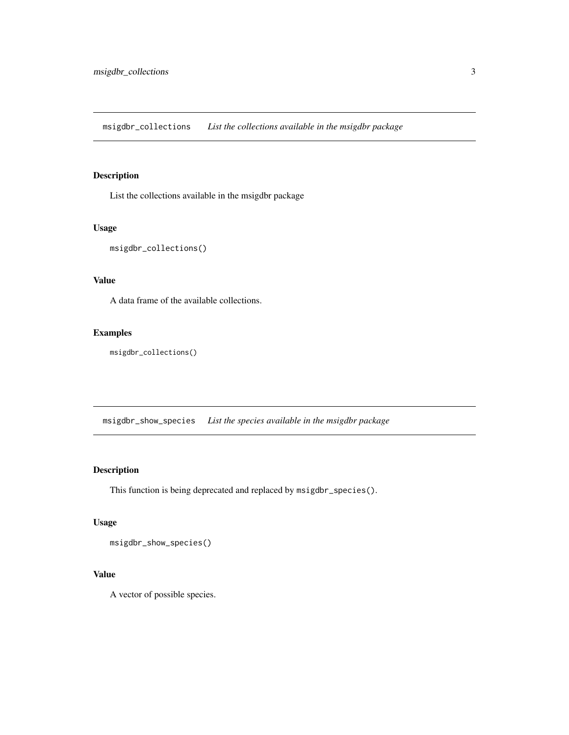<span id="page-2-0"></span>msigdbr\_collections *List the collections available in the msigdbr package*

#### Description

List the collections available in the msigdbr package

#### Usage

```
msigdbr_collections()
```
#### Value

A data frame of the available collections.

#### Examples

msigdbr\_collections()

msigdbr\_show\_species *List the species available in the msigdbr package*

#### Description

This function is being deprecated and replaced by msigdbr\_species().

#### Usage

msigdbr\_show\_species()

#### Value

A vector of possible species.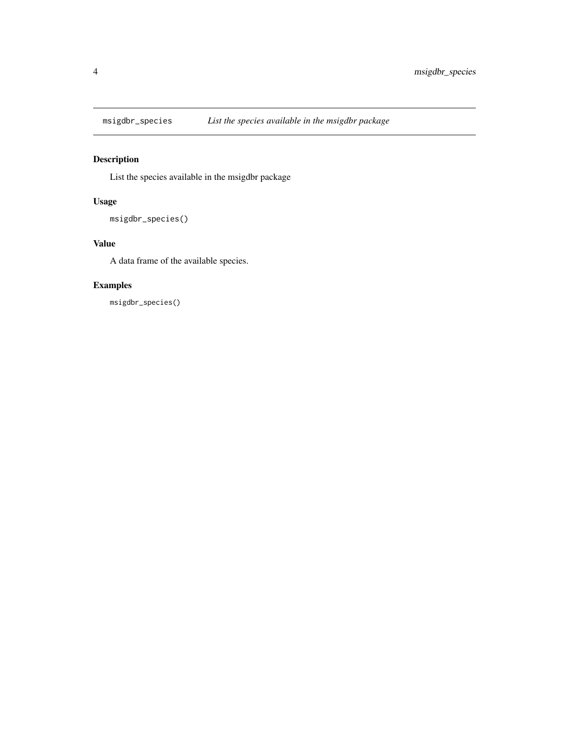<span id="page-3-0"></span>

### Description

List the species available in the msigdbr package

#### Usage

```
msigdbr_species()
```
#### Value

A data frame of the available species.

#### Examples

msigdbr\_species()